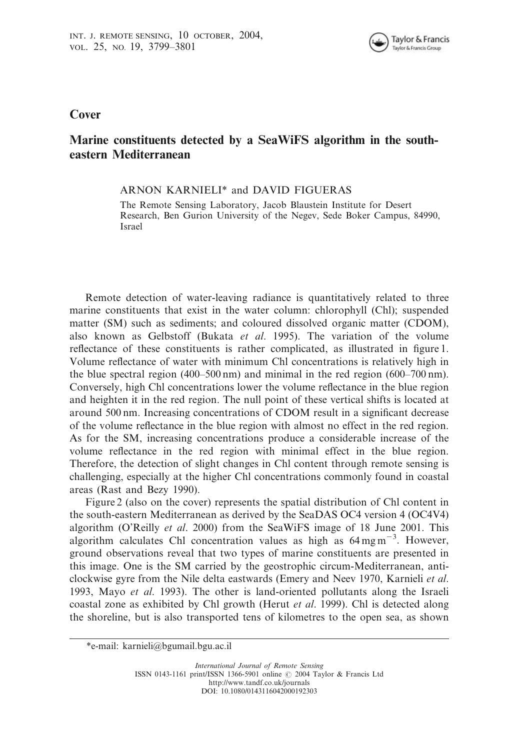

**Cover** 

## Marine constituents detected by a SeaWiFS algorithm in the southeastern Mediterranean

ARNON KARNIELI\* and DAVID FIGUERAS

The Remote Sensing Laboratory, Jacob Blaustein Institute for Desert Research, Ben Gurion University of the Negev, Sede Boker Campus, 84990, Israel

Remote detection of water-leaving radiance is quantitatively related to three marine constituents that exist in the water column: chlorophyll (Chl); suspended matter (SM) such as sediments; and coloured dissolved organic matter (CDOM), also known as Gelbstoff (Bukata *et al*. 1995). The variation of the volume reflectance of these constituents is rather complicated, as illustrated in figure 1. Volume reflectance of water with minimum Chl concentrations is relatively high in the blue spectral region (400–500 nm) and minimal in the red region (600–700 nm). Conversely, high Chl concentrations lower the volume reflectance in the blue region and heighten it in the red region. The null point of these vertical shifts is located at around 500 nm. Increasing concentrations of CDOM result in a significant decrease of the volume reflectance in the blue region with almost no effect in the red region. As for the SM, increasing concentrations produce a considerable increase of the volume reflectance in the red region with minimal effect in the blue region. Therefore, the detection of slight changes in Chl content through remote sensing is challenging, especially at the higher Chl concentrations commonly found in coastal areas (Rast and Bezy 1990).

Figure 2 (also on the cover) represents the spatial distribution of Chl content in the south-eastern Mediterranean as derived by the SeaDAS OC4 version 4 (OC4V4) algorithm (O'Reilly *et al*. 2000) from the SeaWiFS image of 18 June 2001. This algorithm calculates Chl concentration values as high as  $64 \text{ mg m}^{-3}$ . However, ground observations reveal that two types of marine constituents are presented in this image. One is the SM carried by the geostrophic circum-Mediterranean, anticlockwise gyre from the Nile delta eastwards (Emery and Neev 1970, Karnieli *et al*. 1993, Mayo *et al*. 1993). The other is land-oriented pollutants along the Israeli coastal zone as exhibited by Chl growth (Herut *et al*. 1999). Chl is detected along the shoreline, but is also transported tens of kilometres to the open sea, as shown

<sup>\*</sup>e-mail: karnieli@bgumail.bgu.ac.il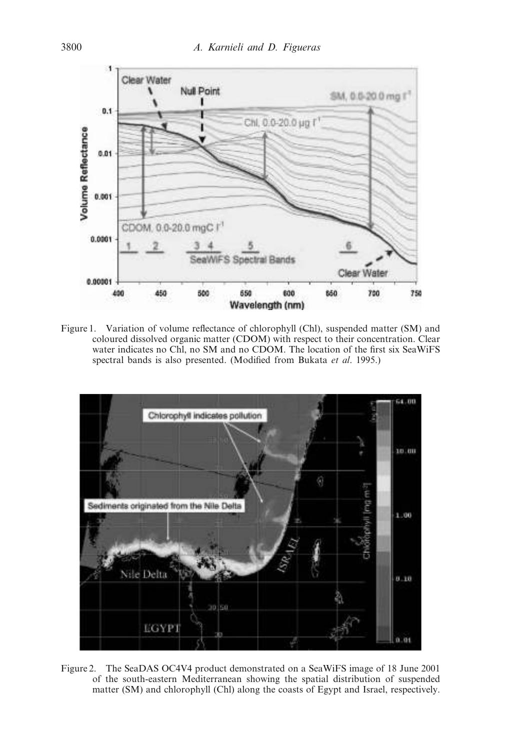

Figure 1. Variation of volume reflectance of chlorophyll (Chl), suspended matter (SM) and coloured dissolved organic matter (CDOM) with respect to their concentration. Clear water indicates no Chl, no SM and no CDOM. The location of the first six SeaWiFS spectral bands is also presented. (Modified from Bukata *et al*. 1995.)



Figure 2. The SeaDAS OC4V4 product demonstrated on a SeaWiFS image of 18 June 2001 of the south-eastern Mediterranean showing the spatial distribution of suspended matter (SM) and chlorophyll (Chl) along the coasts of Egypt and Israel, respectively.